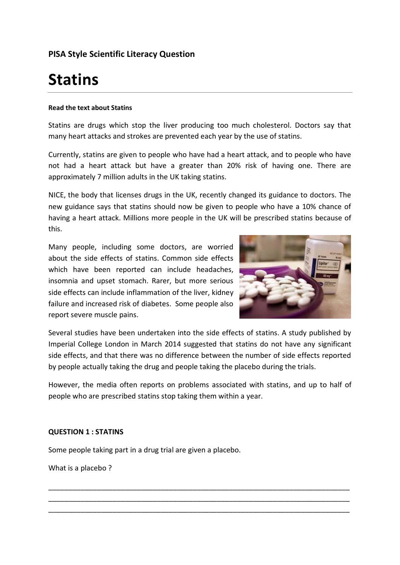# **PISA Style Scientific Literacy Question**

# **Statins**

#### **Read the text about Statins**

Statins are drugs which stop the liver producing too much cholesterol. Doctors say that many heart attacks and strokes are prevented each year by the use of statins.

Currently, statins are given to people who have had a heart attack, and to people who have not had a heart attack but have a greater than 20% risk of having one. There are approximately 7 million adults in the UK taking statins.

NICE, the body that licenses drugs in the UK, recently changed its guidance to doctors. The new guidance says that statins should now be given to people who have a 10% chance of having a heart attack. Millions more people in the UK will be prescribed statins because of this.

Many people, including some doctors, are worried about the side effects of statins. Common side effects which have been reported can include headaches, insomnia and upset stomach. Rarer, but more serious side effects can include inflammation of the liver, kidney failure and increased risk of diabetes. Some people also report severe muscle pains.



Several studies have been undertaken into the side effects of statins. A study published by Imperial College London in March 2014 suggested that statins do not have any significant side effects, and that there was no difference between the number of side effects reported by people actually taking the drug and people taking the placebo during the trials.

However, the media often reports on problems associated with statins, and up to half of people who are prescribed statins stop taking them within a year.

\_\_\_\_\_\_\_\_\_\_\_\_\_\_\_\_\_\_\_\_\_\_\_\_\_\_\_\_\_\_\_\_\_\_\_\_\_\_\_\_\_\_\_\_\_\_\_\_\_\_\_\_\_\_\_\_\_\_\_\_\_\_\_\_\_\_\_\_\_\_\_\_\_\_\_ \_\_\_\_\_\_\_\_\_\_\_\_\_\_\_\_\_\_\_\_\_\_\_\_\_\_\_\_\_\_\_\_\_\_\_\_\_\_\_\_\_\_\_\_\_\_\_\_\_\_\_\_\_\_\_\_\_\_\_\_\_\_\_\_\_\_\_\_\_\_\_\_\_\_\_ \_\_\_\_\_\_\_\_\_\_\_\_\_\_\_\_\_\_\_\_\_\_\_\_\_\_\_\_\_\_\_\_\_\_\_\_\_\_\_\_\_\_\_\_\_\_\_\_\_\_\_\_\_\_\_\_\_\_\_\_\_\_\_\_\_\_\_\_\_\_\_\_\_\_\_

#### **QUESTION 1 : STATINS**

Some people taking part in a drug trial are given a placebo.

What is a placebo ?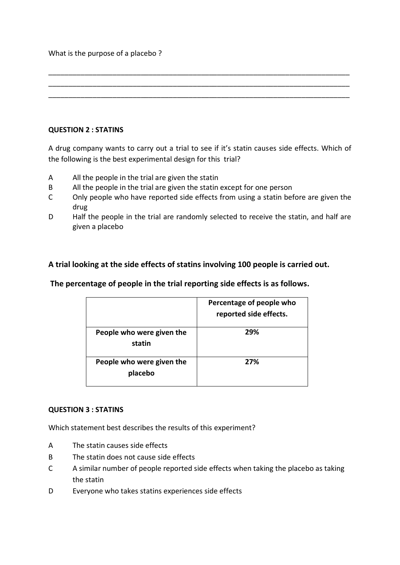What is the purpose of a placebo ?

# **QUESTION 2 : STATINS**

A drug company wants to carry out a trial to see if it's statin causes side effects. Which of the following is the best experimental design for this trial?

\_\_\_\_\_\_\_\_\_\_\_\_\_\_\_\_\_\_\_\_\_\_\_\_\_\_\_\_\_\_\_\_\_\_\_\_\_\_\_\_\_\_\_\_\_\_\_\_\_\_\_\_\_\_\_\_\_\_\_\_\_\_\_\_\_\_\_\_\_\_\_\_\_\_\_ \_\_\_\_\_\_\_\_\_\_\_\_\_\_\_\_\_\_\_\_\_\_\_\_\_\_\_\_\_\_\_\_\_\_\_\_\_\_\_\_\_\_\_\_\_\_\_\_\_\_\_\_\_\_\_\_\_\_\_\_\_\_\_\_\_\_\_\_\_\_\_\_\_\_\_ \_\_\_\_\_\_\_\_\_\_\_\_\_\_\_\_\_\_\_\_\_\_\_\_\_\_\_\_\_\_\_\_\_\_\_\_\_\_\_\_\_\_\_\_\_\_\_\_\_\_\_\_\_\_\_\_\_\_\_\_\_\_\_\_\_\_\_\_\_\_\_\_\_\_\_

- A All the people in the trial are given the statin
- B All the people in the trial are given the statin except for one person
- C Only people who have reported side effects from using a statin before are given the drug
- D Half the people in the trial are randomly selected to receive the statin, and half are given a placebo

# **A trial looking at the side effects of statins involving 100 people is carried out.**

**The percentage of people in the trial reporting side effects is as follows.**

|                                      | Percentage of people who<br>reported side effects. |
|--------------------------------------|----------------------------------------------------|
| People who were given the<br>statin  | 29%                                                |
| People who were given the<br>placebo | 27%                                                |

## **QUESTION 3 : STATINS**

Which statement best describes the results of this experiment?

- A The statin causes side effects
- B The statin does not cause side effects
- C A similar number of people reported side effects when taking the placebo as taking the statin
- D Everyone who takes statins experiences side effects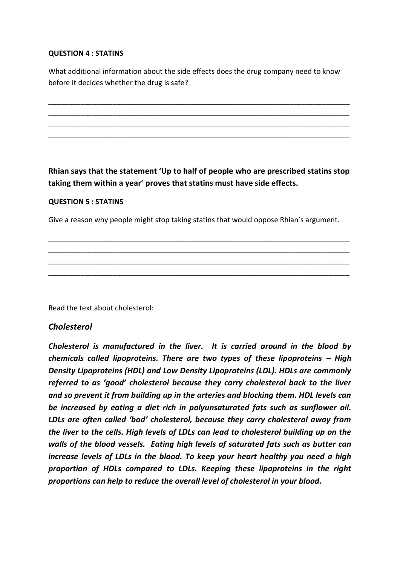#### **QUESTION 4 : STATINS**

What additional information about the side effects does the drug company need to know before it decides whether the drug is safe?

\_\_\_\_\_\_\_\_\_\_\_\_\_\_\_\_\_\_\_\_\_\_\_\_\_\_\_\_\_\_\_\_\_\_\_\_\_\_\_\_\_\_\_\_\_\_\_\_\_\_\_\_\_\_\_\_\_\_\_\_\_\_\_\_\_\_\_\_\_\_\_\_\_\_\_ \_\_\_\_\_\_\_\_\_\_\_\_\_\_\_\_\_\_\_\_\_\_\_\_\_\_\_\_\_\_\_\_\_\_\_\_\_\_\_\_\_\_\_\_\_\_\_\_\_\_\_\_\_\_\_\_\_\_\_\_\_\_\_\_\_\_\_\_\_\_\_\_\_\_\_ \_\_\_\_\_\_\_\_\_\_\_\_\_\_\_\_\_\_\_\_\_\_\_\_\_\_\_\_\_\_\_\_\_\_\_\_\_\_\_\_\_\_\_\_\_\_\_\_\_\_\_\_\_\_\_\_\_\_\_\_\_\_\_\_\_\_\_\_\_\_\_\_\_\_\_ \_\_\_\_\_\_\_\_\_\_\_\_\_\_\_\_\_\_\_\_\_\_\_\_\_\_\_\_\_\_\_\_\_\_\_\_\_\_\_\_\_\_\_\_\_\_\_\_\_\_\_\_\_\_\_\_\_\_\_\_\_\_\_\_\_\_\_\_\_\_\_\_\_\_\_

# **Rhian says that the statement 'Up to half of people who are prescribed statins stop taking them within a year' proves that statins must have side effects.**

## **QUESTION 5 : STATINS**

Give a reason why people might stop taking statins that would oppose Rhian's argument.

\_\_\_\_\_\_\_\_\_\_\_\_\_\_\_\_\_\_\_\_\_\_\_\_\_\_\_\_\_\_\_\_\_\_\_\_\_\_\_\_\_\_\_\_\_\_\_\_\_\_\_\_\_\_\_\_\_\_\_\_\_\_\_\_\_\_\_\_\_\_\_\_\_\_\_ \_\_\_\_\_\_\_\_\_\_\_\_\_\_\_\_\_\_\_\_\_\_\_\_\_\_\_\_\_\_\_\_\_\_\_\_\_\_\_\_\_\_\_\_\_\_\_\_\_\_\_\_\_\_\_\_\_\_\_\_\_\_\_\_\_\_\_\_\_\_\_\_\_\_\_ \_\_\_\_\_\_\_\_\_\_\_\_\_\_\_\_\_\_\_\_\_\_\_\_\_\_\_\_\_\_\_\_\_\_\_\_\_\_\_\_\_\_\_\_\_\_\_\_\_\_\_\_\_\_\_\_\_\_\_\_\_\_\_\_\_\_\_\_\_\_\_\_\_\_\_ \_\_\_\_\_\_\_\_\_\_\_\_\_\_\_\_\_\_\_\_\_\_\_\_\_\_\_\_\_\_\_\_\_\_\_\_\_\_\_\_\_\_\_\_\_\_\_\_\_\_\_\_\_\_\_\_\_\_\_\_\_\_\_\_\_\_\_\_\_\_\_\_\_\_\_

Read the text about cholesterol:

# *Cholesterol*

*Cholesterol is manufactured in the liver. It is carried around in the blood by chemicals called lipoproteins. There are two types of these lipoproteins – High Density Lipoproteins (HDL) and Low Density Lipoproteins (LDL). HDLs are commonly referred to as 'good' cholesterol because they carry cholesterol back to the liver and so prevent it from building up in the arteries and blocking them. HDL levels can be increased by eating a diet rich in polyunsaturated fats such as sunflower oil. LDLs are often called 'bad' cholesterol, because they carry cholesterol away from the liver to the cells. High levels of LDLs can lead to cholesterol building up on the walls of the blood vessels. Eating high levels of saturated fats such as butter can increase levels of LDLs in the blood. To keep your heart healthy you need a high proportion of HDLs compared to LDLs. Keeping these lipoproteins in the right proportions can help to reduce the overall level of cholesterol in your blood.*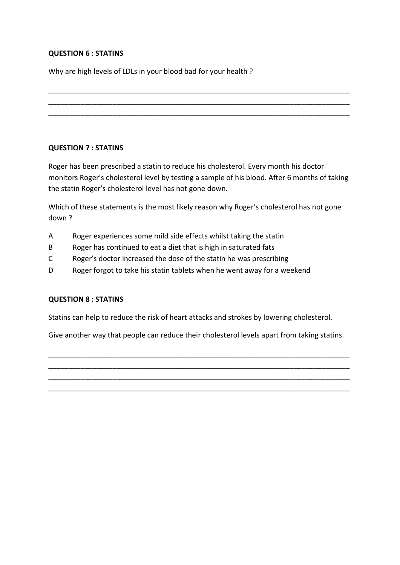#### **QUESTION 6 : STATINS**

Why are high levels of LDLs in your blood bad for your health ?

#### **QUESTION 7 : STATINS**

Roger has been prescribed a statin to reduce his cholesterol. Every month his doctor monitors Roger's cholesterol level by testing a sample of his blood. After 6 months of taking the statin Roger's cholesterol level has not gone down.

\_\_\_\_\_\_\_\_\_\_\_\_\_\_\_\_\_\_\_\_\_\_\_\_\_\_\_\_\_\_\_\_\_\_\_\_\_\_\_\_\_\_\_\_\_\_\_\_\_\_\_\_\_\_\_\_\_\_\_\_\_\_\_\_\_\_\_\_\_\_\_\_\_\_\_ \_\_\_\_\_\_\_\_\_\_\_\_\_\_\_\_\_\_\_\_\_\_\_\_\_\_\_\_\_\_\_\_\_\_\_\_\_\_\_\_\_\_\_\_\_\_\_\_\_\_\_\_\_\_\_\_\_\_\_\_\_\_\_\_\_\_\_\_\_\_\_\_\_\_\_ \_\_\_\_\_\_\_\_\_\_\_\_\_\_\_\_\_\_\_\_\_\_\_\_\_\_\_\_\_\_\_\_\_\_\_\_\_\_\_\_\_\_\_\_\_\_\_\_\_\_\_\_\_\_\_\_\_\_\_\_\_\_\_\_\_\_\_\_\_\_\_\_\_\_\_

Which of these statements is the most likely reason why Roger's cholesterol has not gone down ?

- A Roger experiences some mild side effects whilst taking the statin
- B Roger has continued to eat a diet that is high in saturated fats
- C Roger's doctor increased the dose of the statin he was prescribing
- D Roger forgot to take his statin tablets when he went away for a weekend

#### **QUESTION 8 : STATINS**

Statins can help to reduce the risk of heart attacks and strokes by lowering cholesterol.

Give another way that people can reduce their cholesterol levels apart from taking statins.

\_\_\_\_\_\_\_\_\_\_\_\_\_\_\_\_\_\_\_\_\_\_\_\_\_\_\_\_\_\_\_\_\_\_\_\_\_\_\_\_\_\_\_\_\_\_\_\_\_\_\_\_\_\_\_\_\_\_\_\_\_\_\_\_\_\_\_\_\_\_\_\_\_\_\_ \_\_\_\_\_\_\_\_\_\_\_\_\_\_\_\_\_\_\_\_\_\_\_\_\_\_\_\_\_\_\_\_\_\_\_\_\_\_\_\_\_\_\_\_\_\_\_\_\_\_\_\_\_\_\_\_\_\_\_\_\_\_\_\_\_\_\_\_\_\_\_\_\_\_\_ \_\_\_\_\_\_\_\_\_\_\_\_\_\_\_\_\_\_\_\_\_\_\_\_\_\_\_\_\_\_\_\_\_\_\_\_\_\_\_\_\_\_\_\_\_\_\_\_\_\_\_\_\_\_\_\_\_\_\_\_\_\_\_\_\_\_\_\_\_\_\_\_\_\_\_ \_\_\_\_\_\_\_\_\_\_\_\_\_\_\_\_\_\_\_\_\_\_\_\_\_\_\_\_\_\_\_\_\_\_\_\_\_\_\_\_\_\_\_\_\_\_\_\_\_\_\_\_\_\_\_\_\_\_\_\_\_\_\_\_\_\_\_\_\_\_\_\_\_\_\_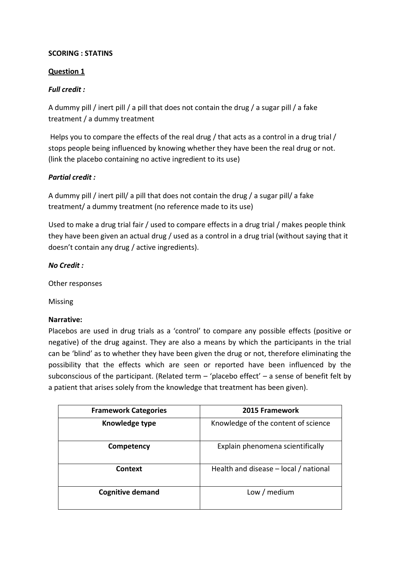#### **SCORING : STATINS**

#### **Question 1**

## *Full credit :*

A dummy pill / inert pill / a pill that does not contain the drug / a sugar pill / a fake treatment / a dummy treatment

Helps you to compare the effects of the real drug / that acts as a control in a drug trial / stops people being influenced by knowing whether they have been the real drug or not. (link the placebo containing no active ingredient to its use)

## *Partial credit :*

A dummy pill / inert pill/ a pill that does not contain the drug / a sugar pill/ a fake treatment/ a dummy treatment (no reference made to its use)

Used to make a drug trial fair / used to compare effects in a drug trial / makes people think they have been given an actual drug / used as a control in a drug trial (without saying that it doesn't contain any drug / active ingredients).

#### *No Credit :*

Other responses

Missing

#### **Narrative:**

Placebos are used in drug trials as a 'control' to compare any possible effects (positive or negative) of the drug against. They are also a means by which the participants in the trial can be 'blind' as to whether they have been given the drug or not, therefore eliminating the possibility that the effects which are seen or reported have been influenced by the subconscious of the participant. (Related term  $-$  'placebo effect'  $-$  a sense of benefit felt by a patient that arises solely from the knowledge that treatment has been given).

| <b>Framework Categories</b> | 2015 Framework                        |
|-----------------------------|---------------------------------------|
| Knowledge type              | Knowledge of the content of science   |
| Competency                  | Explain phenomena scientifically      |
| Context                     | Health and disease - local / national |
| <b>Cognitive demand</b>     | Low / medium                          |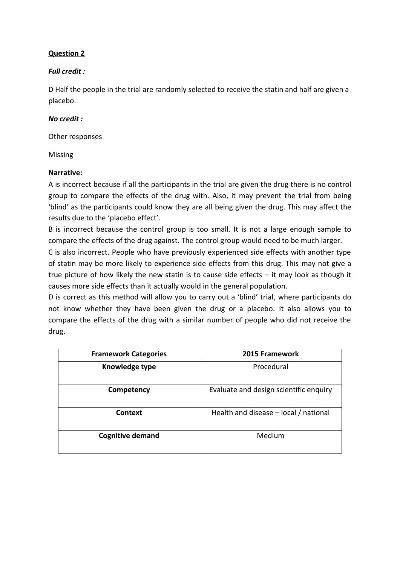## *Full credit :*

D Half the people in the trial are randomly selected to receive the statin and half are given a placebo.

#### *No credit :*

Other responses

Missing

#### **Narrative:**

A is incorrect because if all the participants in the trial are given the drug there is no control group to compare the effects of the drug with. Also, it may prevent the trial from being 'blind' as the participants could know they are all being given the drug. This may affect the results due to the 'placebo effect'.

B is incorrect because the control group is too small. It is not a large enough sample to compare the effects of the drug against. The control group would need to be much larger.

C is also incorrect. People who have previously experienced side effects with another type of statin may be more likely to experience side effects from this drug. This may not give a true picture of how likely the new statin is to cause side effects – it may look as though it causes more side effects than it actually would in the general population.

D is correct as this method will allow you to carry out a 'blind' trial, where participants do not know whether they have been given the drug or a placebo. It also allows you to compare the effects of the drug with a similar number of people who did not receive the drug.

| <b>Framework Categories</b> | 2015 Framework                         |
|-----------------------------|----------------------------------------|
| Knowledge type              | Procedural                             |
| Competency                  | Evaluate and design scientific enquiry |
| Context                     | Health and disease - local / national  |
| <b>Cognitive demand</b>     | Medium                                 |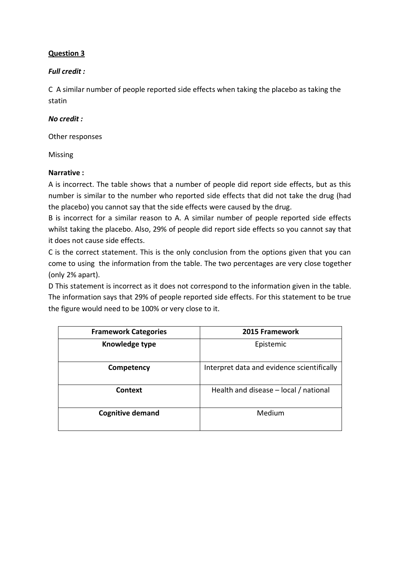# *Full credit :*

C A similar number of people reported side effects when taking the placebo as taking the statin

# *No credit :*

Other responses

Missing

## **Narrative :**

A is incorrect. The table shows that a number of people did report side effects, but as this number is similar to the number who reported side effects that did not take the drug (had the placebo) you cannot say that the side effects were caused by the drug.

B is incorrect for a similar reason to A. A similar number of people reported side effects whilst taking the placebo. Also, 29% of people did report side effects so you cannot say that it does not cause side effects.

C is the correct statement. This is the only conclusion from the options given that you can come to using the information from the table. The two percentages are very close together (only 2% apart).

D This statement is incorrect as it does not correspond to the information given in the table. The information says that 29% of people reported side effects. For this statement to be true the figure would need to be 100% or very close to it.

| <b>Framework Categories</b> | 2015 Framework                             |
|-----------------------------|--------------------------------------------|
| Knowledge type              | Epistemic                                  |
| Competency                  | Interpret data and evidence scientifically |
| Context                     | Health and disease - local / national      |
| <b>Cognitive demand</b>     | Medium                                     |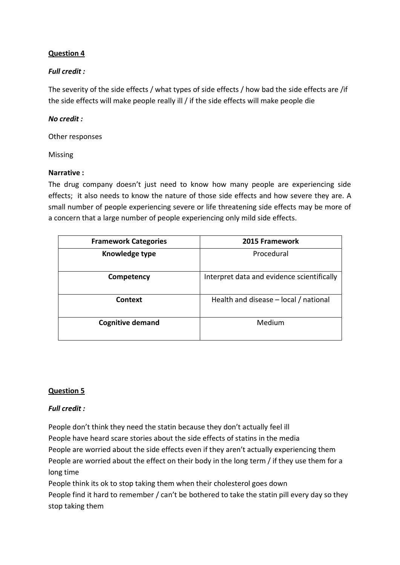# *Full credit :*

The severity of the side effects / what types of side effects / how bad the side effects are /if the side effects will make people really ill / if the side effects will make people die

#### *No credit :*

Other responses

Missing

#### **Narrative :**

The drug company doesn't just need to know how many people are experiencing side effects; it also needs to know the nature of those side effects and how severe they are. A small number of people experiencing severe or life threatening side effects may be more of a concern that a large number of people experiencing only mild side effects.

| <b>Framework Categories</b> | 2015 Framework                             |
|-----------------------------|--------------------------------------------|
| Knowledge type              | Procedural                                 |
| Competency                  | Interpret data and evidence scientifically |
| <b>Context</b>              | Health and disease - local / national      |
| <b>Cognitive demand</b>     | Medium                                     |

## **Question 5**

#### *Full credit :*

People don't think they need the statin because they don't actually feel ill People have heard scare stories about the side effects of statins in the media People are worried about the side effects even if they aren't actually experiencing them People are worried about the effect on their body in the long term / if they use them for a long time

People think its ok to stop taking them when their cholesterol goes down People find it hard to remember / can't be bothered to take the statin pill every day so they stop taking them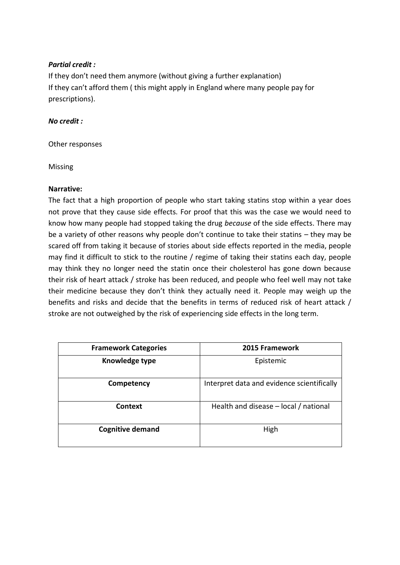# *Partial credit :*

If they don't need them anymore (without giving a further explanation) If they can't afford them ( this might apply in England where many people pay for prescriptions).

## *No credit :*

Other responses

Missing

#### **Narrative:**

The fact that a high proportion of people who start taking statins stop within a year does not prove that they cause side effects. For proof that this was the case we would need to know how many people had stopped taking the drug *because* of the side effects. There may be a variety of other reasons why people don't continue to take their statins – they may be scared off from taking it because of stories about side effects reported in the media, people may find it difficult to stick to the routine / regime of taking their statins each day, people may think they no longer need the statin once their cholesterol has gone down because their risk of heart attack / stroke has been reduced, and people who feel well may not take their medicine because they don't think they actually need it. People may weigh up the benefits and risks and decide that the benefits in terms of reduced risk of heart attack / stroke are not outweighed by the risk of experiencing side effects in the long term.

| <b>Framework Categories</b> | 2015 Framework                             |
|-----------------------------|--------------------------------------------|
| Knowledge type              | Epistemic                                  |
| Competency                  | Interpret data and evidence scientifically |
| Context                     | Health and disease – local / national      |
| <b>Cognitive demand</b>     | High                                       |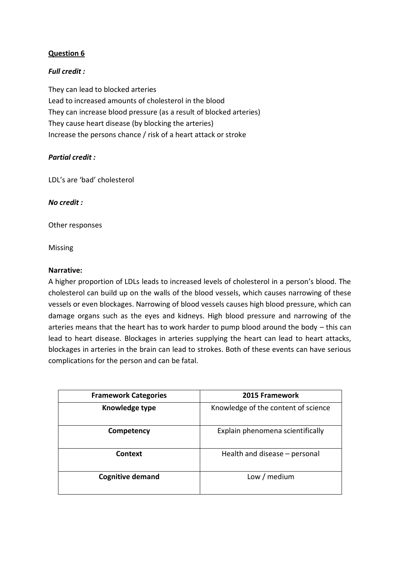## *Full credit :*

They can lead to blocked arteries Lead to increased amounts of cholesterol in the blood They can increase blood pressure (as a result of blocked arteries) They cause heart disease (by blocking the arteries) Increase the persons chance / risk of a heart attack or stroke

## *Partial credit :*

LDL's are 'bad' cholesterol

#### *No credit :*

Other responses

Missing

#### **Narrative:**

A higher proportion of LDLs leads to increased levels of cholesterol in a person's blood. The cholesterol can build up on the walls of the blood vessels, which causes narrowing of these vessels or even blockages. Narrowing of blood vessels causes high blood pressure, which can damage organs such as the eyes and kidneys. High blood pressure and narrowing of the arteries means that the heart has to work harder to pump blood around the body – this can lead to heart disease. Blockages in arteries supplying the heart can lead to heart attacks, blockages in arteries in the brain can lead to strokes. Both of these events can have serious complications for the person and can be fatal.

| <b>Framework Categories</b> | 2015 Framework                      |
|-----------------------------|-------------------------------------|
| Knowledge type              | Knowledge of the content of science |
| Competency                  | Explain phenomena scientifically    |
| Context                     | Health and disease – personal       |
| <b>Cognitive demand</b>     | Low / medium                        |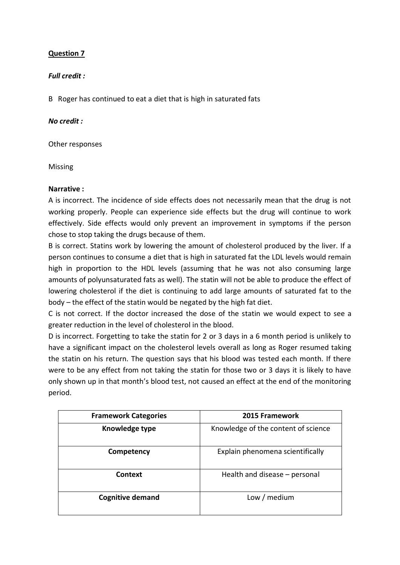## *Full credit :*

B Roger has continued to eat a diet that is high in saturated fats

#### *No credit :*

Other responses

Missing

#### **Narrative :**

A is incorrect. The incidence of side effects does not necessarily mean that the drug is not working properly. People can experience side effects but the drug will continue to work effectively. Side effects would only prevent an improvement in symptoms if the person chose to stop taking the drugs because of them.

B is correct. Statins work by lowering the amount of cholesterol produced by the liver. If a person continues to consume a diet that is high in saturated fat the LDL levels would remain high in proportion to the HDL levels (assuming that he was not also consuming large amounts of polyunsaturated fats as well). The statin will not be able to produce the effect of lowering cholesterol if the diet is continuing to add large amounts of saturated fat to the body – the effect of the statin would be negated by the high fat diet.

C is not correct. If the doctor increased the dose of the statin we would expect to see a greater reduction in the level of cholesterol in the blood.

D is incorrect. Forgetting to take the statin for 2 or 3 days in a 6 month period is unlikely to have a significant impact on the cholesterol levels overall as long as Roger resumed taking the statin on his return. The question says that his blood was tested each month. If there were to be any effect from not taking the statin for those two or 3 days it is likely to have only shown up in that month's blood test, not caused an effect at the end of the monitoring period.

| <b>Framework Categories</b> | 2015 Framework                      |
|-----------------------------|-------------------------------------|
| Knowledge type              | Knowledge of the content of science |
| Competency                  | Explain phenomena scientifically    |
| Context                     | Health and disease – personal       |
| <b>Cognitive demand</b>     | Low / medium                        |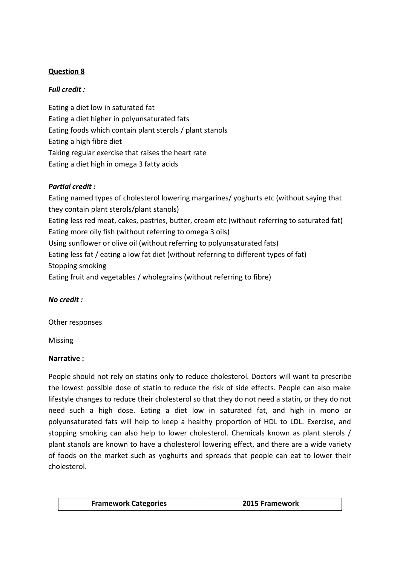# *Full credit :*

Eating a diet low in saturated fat Eating a diet higher in polyunsaturated fats Eating foods which contain plant sterols / plant stanols Eating a high fibre diet Taking regular exercise that raises the heart rate Eating a diet high in omega 3 fatty acids

# *Partial credit :*

Eating named types of cholesterol lowering margarines/ yoghurts etc (without saying that they contain plant sterols/plant stanols) Eating less red meat, cakes, pastries, butter, cream etc (without referring to saturated fat) Eating more oily fish (without referring to omega 3 oils) Using sunflower or olive oil (without referring to polyunsaturated fats) Eating less fat / eating a low fat diet (without referring to different types of fat) Stopping smoking Eating fruit and vegetables / wholegrains (without referring to fibre)

## *No credit :*

Other responses

Missing

## **Narrative :**

People should not rely on statins only to reduce cholesterol. Doctors will want to prescribe the lowest possible dose of statin to reduce the risk of side effects. People can also make lifestyle changes to reduce their cholesterol so that they do not need a statin, or they do not need such a high dose. Eating a diet low in saturated fat, and high in mono or polyunsaturated fats will help to keep a healthy proportion of HDL to LDL. Exercise, and stopping smoking can also help to lower cholesterol. Chemicals known as plant sterols / plant stanols are known to have a cholesterol lowering effect, and there are a wide variety of foods on the market such as yoghurts and spreads that people can eat to lower their cholesterol.

| <b>Framework Categories</b> | 2015 Framework |
|-----------------------------|----------------|
|-----------------------------|----------------|